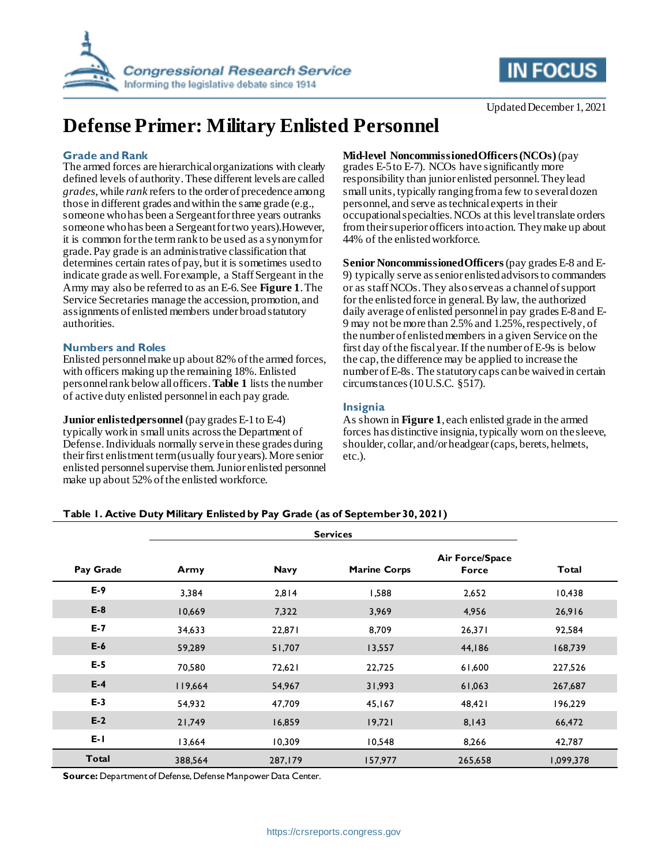



# **Defense Primer: Military Enlisted Personnel**

### **Grade and Rank**

The armed forces are hierarchical organizations with clearly defined levels of authority. These different levels are called *grades*, while *rank* refers to the order of precedence among those in different grades and within the same grade (e.g., someone who has been a Sergeant for three years outranks someone who has been a Sergeant for two years). However, it is common for the term rank to be used as a synonym for grade. Pay grade is an administrative classification that determines certain rates of pay, but it is sometimes used to indicate grade as well. For example, a Staff Sergeant in the Army may also be referred to as an E-6. See **[Figure 1](#page-1-0)**. The Service Secretaries manage the accession, promotion, and assignments of enlisted members under broad statutory authorities.

#### **Numbers and Roles**

Enlisted personnel make up about 82% of the armed forces, with officers making up the remaining 18%. Enlisted personnel rank below all officers. **[Table 1](#page-0-0)** lists the number of active duty enlisted personnel in each pay grade.

#### **Junior enlisted personnel** (pay grades E-1 to E-4)

typically work in small units across the Department of Defense. Individuals normally serve in these grades during their first enlistment term (usually four years). More senior enlisted personnel supervise them. Junior enlisted personnel make up about 52% of the enlisted workforce.

#### **Mid-level Noncommissioned Officers (NCOs)** (pay

grades E-5 to E-7). NCOs have significantly more responsibility than junior enlisted personnel. They lead small units, typically ranging from a few to several dozen personnel, and serve as technical experts in their occupational specialties. NCOs at this level translate orders from their superior officers into action. They make up about 44% of the enlisted workforce.

**Senior Noncommissioned Officers**(pay grades E-8 and E-9) typically serve as senior enlisted advisors to commanders or as staff NCOs. They also serve as a channel of support for the enlisted force in general. By law, the authorized daily average of enlisted personnel in pay grades E-8 and E-9 may not be more than 2.5% and 1.25%, respectively, of the number of enlisted members in a given Service on the first day of the fiscal year. If the number of E-9s is below the cap, the difference may be applied to increase the number of E-8s. The statutory caps can be waived in certain circumstances (10 U.S.C. §517).

## **Insignia**

As shown in **[Figure 1](#page-1-0)**, each enlisted grade in the armed forces has distinctive insignia, typically worn on the sleeve, shoulder, collar, and/or headgear (caps, berets, helmets, etc.).

### <span id="page-0-0"></span>**Table 1. Active Duty Military Enlisted by Pay Grade (as of September 30, 2021)**

| Pay Grade | Army    | <b>Navy</b> | <b>Marine Corps</b> | <b>Air Force/Space</b><br>Force | Total     |
|-----------|---------|-------------|---------------------|---------------------------------|-----------|
| $E-9$     | 3,384   | 2,814       | 1,588               | 2,652                           | 10,438    |
| $E-8$     | 10,669  | 7,322       | 3,969               | 4,956                           | 26,916    |
| $E-7$     | 34,633  | 22,871      | 8,709               | 26,371                          | 92,584    |
| $E-6$     | 59,289  | 51,707      | 13,557              | 44,186                          | 168,739   |
| $E-5$     | 70,580  | 72,621      | 22,725              | 61,600                          | 227,526   |
| $E-4$     | 119,664 | 54,967      | 31,993              | 61,063                          | 267,687   |
| $E-3$     | 54,932  | 47,709      | 45,167              | 48,421                          | 196,229   |
| $E-2$     | 21,749  | 16,859      | 19,721              | 8,143                           | 66,472    |
| $E - I$   | 13,664  | 10,309      | 10,548              | 8,266                           | 42,787    |
| Total     | 388,564 | 287,179     | 157,977             | 265,658                         | 1,099,378 |

**Source:** Department of Defense, Defense Manpower Data Center.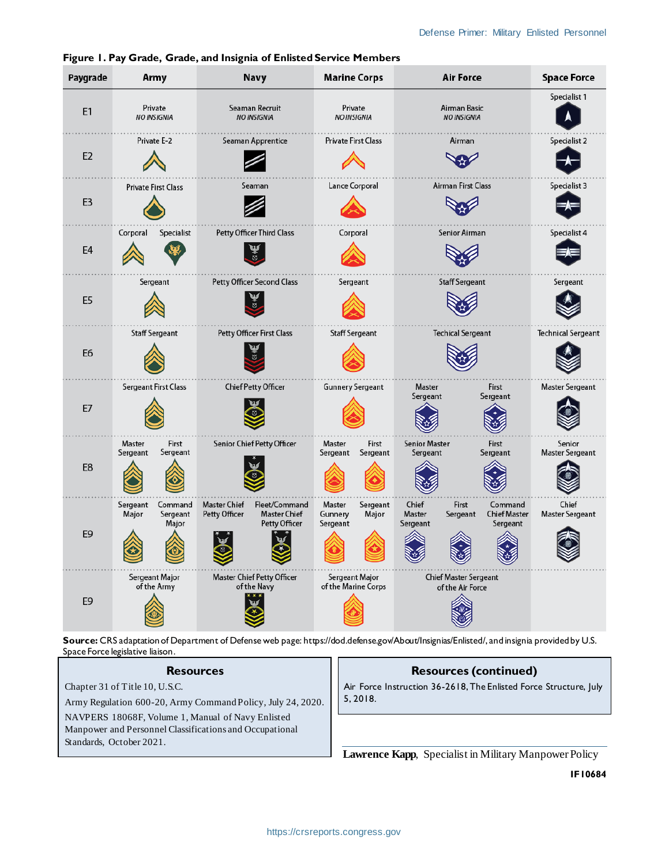| Paygrade       | Army                                              | Navy                                                                                          | <b>Marine Corps</b>                                | <b>Air Force</b>                                                                               | <b>Space Force</b>              |
|----------------|---------------------------------------------------|-----------------------------------------------------------------------------------------------|----------------------------------------------------|------------------------------------------------------------------------------------------------|---------------------------------|
| E1             | Private<br><b>NO INSIGNIA</b>                     | Seaman Recruit<br><b>NO INSIGNIA</b>                                                          | Private<br><b>NO INSIGNIA</b>                      | Airman Basic<br><b>NO INSIGNIA</b>                                                             | Specialist 1                    |
| E <sub>2</sub> | Private E-2                                       | Seaman Apprentice                                                                             | Private First Class                                | Airman                                                                                         | Specialist 2                    |
| E <sub>3</sub> | <b>Private First Class</b>                        | Seaman                                                                                        | Lance Corporal                                     | Airman First Class                                                                             | Specialist 3                    |
| E4             | Corporal<br>Specialist                            | <b>Petty Officer Third Class</b>                                                              | Corporal                                           | Senior Airman                                                                                  | Specialist 4                    |
| E <sub>5</sub> | Sergeant                                          | Petty Officer Second Class                                                                    | Sergeant                                           | <b>Staff Sergeant</b>                                                                          | Sergeant                        |
| E <sub>6</sub> | <b>Staff Sergeant</b>                             | Petty Officer First Class                                                                     | <b>Staff Sergeant</b>                              | <b>Techical Sergeant</b>                                                                       | <b>Technical Sergeant</b>       |
| E7             | Sergeant First Class                              | <b>Chief Petty Officer</b>                                                                    | <b>Gunnery Sergeant</b>                            | Master<br>First<br>Sergeant<br>Sergeant                                                        | <b>Master Sergeant</b>          |
| E8             | Master<br>First<br>Sergeant<br>Sergeant           | Senior Chief Petty Officer                                                                    | Master<br>First<br>Sergeant<br>Sergeant            | <b>Senior Master</b><br>First<br>Sergeant<br>Sergeant                                          | Senior<br>Master Sergeant       |
| E <sub>9</sub> | Sergeant<br>Command<br>Major<br>Sergeant<br>Major | <b>Master Chief</b><br>Fleet/Command<br>Petty Officer<br><b>Master Chief</b><br>Petty Officer | Master<br>Sergeant<br>Major<br>Gunnery<br>Sergeant | Command<br>Chief<br>First<br>Master<br><b>Chief Master</b><br>Sergeant<br>Sergeant<br>Sergeant | Chief<br><b>Master Sergeant</b> |
| E9             | Sergeant Major<br>of the Army                     | <b>Master Chief Petty Officer</b><br>of the Navy                                              | Sergeant Major<br>of the Marine Corps              | <b>Chief Master Sergeant</b><br>of the Air Force                                               |                                 |

<span id="page-1-0"></span>**Figure 1. Pay Grade, Grade, and Insignia of Enlisted Service Members**

**Source:** CRS adaptation of Department of Defense web page: https://dod.defense.gov/About/Insignias/Enlisted/, and insignia provided by U.S. Space Force legislative liaison.

### **Resources**

Chapter 31 of Title 10, U.S.C.

Army Regulation 600-20, Army Command Policy, July 24, 2020.

NAVPERS 18068F, Volume 1, Manual of Navy Enlisted Manpower and Personnel Classifications and Occupational Standards, October 2021.

# **Resources (continued)**

Air Force Instruction 36-2618, The Enlisted Force Structure, July 5, 2018.

**Lawrence Kapp**, Specialist in Military Manpower Policy